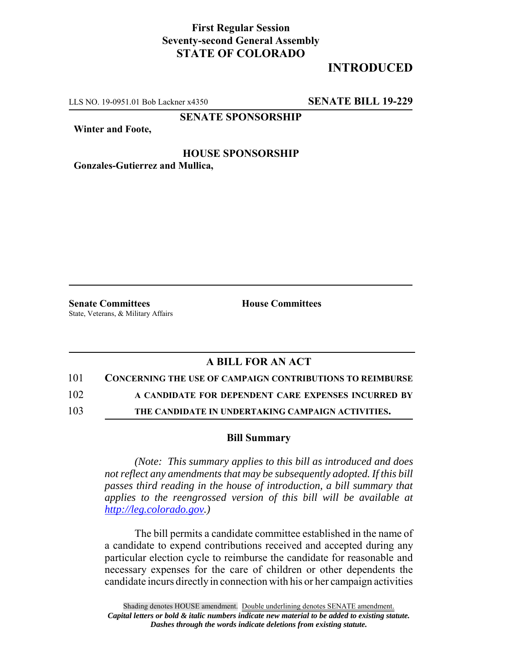## **First Regular Session Seventy-second General Assembly STATE OF COLORADO**

# **INTRODUCED**

LLS NO. 19-0951.01 Bob Lackner x4350 **SENATE BILL 19-229**

**SENATE SPONSORSHIP**

**Winter and Foote,**

### **HOUSE SPONSORSHIP Gonzales-Gutierrez and Mullica,**

**Senate Committees House Committees** State, Veterans, & Military Affairs

## **A BILL FOR AN ACT**

101 **CONCERNING THE USE OF CAMPAIGN CONTRIBUTIONS TO REIMBURSE**

102 **A CANDIDATE FOR DEPENDENT CARE EXPENSES INCURRED BY**

103 **THE CANDIDATE IN UNDERTAKING CAMPAIGN ACTIVITIES.**

#### **Bill Summary**

*(Note: This summary applies to this bill as introduced and does not reflect any amendments that may be subsequently adopted. If this bill passes third reading in the house of introduction, a bill summary that applies to the reengrossed version of this bill will be available at http://leg.colorado.gov.)*

The bill permits a candidate committee established in the name of a candidate to expend contributions received and accepted during any particular election cycle to reimburse the candidate for reasonable and necessary expenses for the care of children or other dependents the candidate incurs directly in connection with his or her campaign activities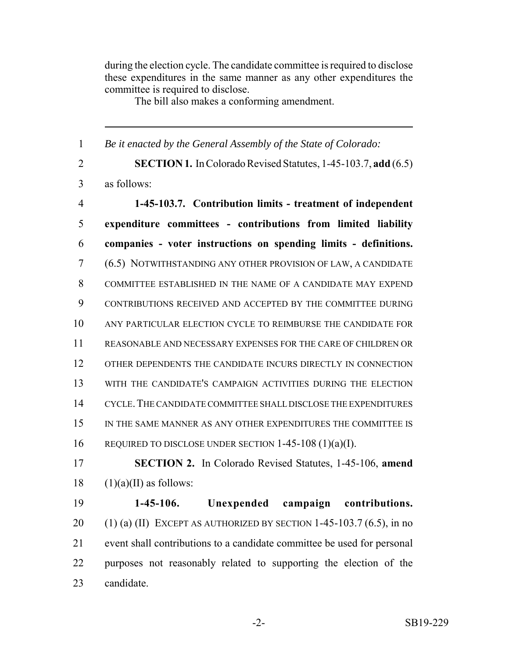during the election cycle. The candidate committee is required to disclose these expenditures in the same manner as any other expenditures the committee is required to disclose.

The bill also makes a conforming amendment.

 *Be it enacted by the General Assembly of the State of Colorado:* **SECTION 1.** In Colorado Revised Statutes, 1-45-103.7, **add** (6.5) as follows: **1-45-103.7. Contribution limits - treatment of independent expenditure committees - contributions from limited liability companies - voter instructions on spending limits - definitions.** (6.5) NOTWITHSTANDING ANY OTHER PROVISION OF LAW, A CANDIDATE COMMITTEE ESTABLISHED IN THE NAME OF A CANDIDATE MAY EXPEND CONTRIBUTIONS RECEIVED AND ACCEPTED BY THE COMMITTEE DURING ANY PARTICULAR ELECTION CYCLE TO REIMBURSE THE CANDIDATE FOR REASONABLE AND NECESSARY EXPENSES FOR THE CARE OF CHILDREN OR OTHER DEPENDENTS THE CANDIDATE INCURS DIRECTLY IN CONNECTION WITH THE CANDIDATE'S CAMPAIGN ACTIVITIES DURING THE ELECTION CYCLE.THE CANDIDATE COMMITTEE SHALL DISCLOSE THE EXPENDITURES IN THE SAME MANNER AS ANY OTHER EXPENDITURES THE COMMITTEE IS REQUIRED TO DISCLOSE UNDER SECTION 1-45-108 (1)(a)(I). **SECTION 2.** In Colorado Revised Statutes, 1-45-106, **amend**  $(1)(a)(II)$  as follows: **1-45-106. Unexpended campaign contributions.** 20 (1) (a) (II) EXCEPT AS AUTHORIZED BY SECTION 1-45-103.7 (6.5), in no event shall contributions to a candidate committee be used for personal purposes not reasonably related to supporting the election of the candidate.